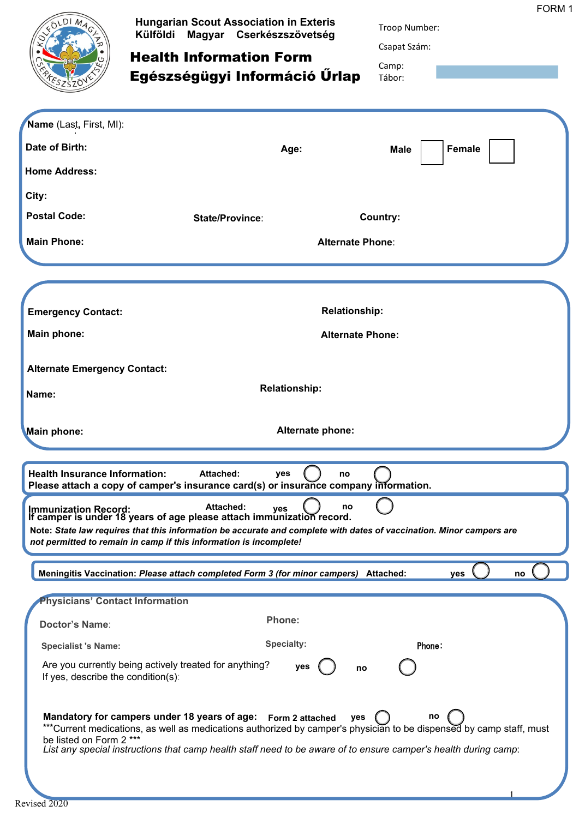| Name (Last, First, MI):<br>Date of Birth:                     | <b>Hungarian Scout Association in Exteris</b><br>Külföldi Magyar Cserkészszövetség<br><b>Health Information Form</b><br>Egészségügyi Információ Ürlap<br>Age:                                                                                                                                        | FORM 1<br>Troop Number:<br>Csapat Szám:<br>Camp:<br>Tábor:<br>Female<br>Male |
|---------------------------------------------------------------|------------------------------------------------------------------------------------------------------------------------------------------------------------------------------------------------------------------------------------------------------------------------------------------------------|------------------------------------------------------------------------------|
| <b>Home Address:</b>                                          |                                                                                                                                                                                                                                                                                                      |                                                                              |
| City:                                                         |                                                                                                                                                                                                                                                                                                      |                                                                              |
| <b>Postal Code:</b>                                           | State/Province:                                                                                                                                                                                                                                                                                      | Country:                                                                     |
| <b>Main Phone:</b>                                            | <b>Alternate Phone:</b>                                                                                                                                                                                                                                                                              |                                                                              |
|                                                               |                                                                                                                                                                                                                                                                                                      |                                                                              |
|                                                               |                                                                                                                                                                                                                                                                                                      |                                                                              |
| <b>Emergency Contact:</b>                                     | <b>Relationship:</b>                                                                                                                                                                                                                                                                                 |                                                                              |
| Main phone:                                                   | <b>Alternate Phone:</b>                                                                                                                                                                                                                                                                              |                                                                              |
| <b>Alternate Emergency Contact:</b>                           |                                                                                                                                                                                                                                                                                                      |                                                                              |
| Name:                                                         | <b>Relationship:</b>                                                                                                                                                                                                                                                                                 |                                                                              |
| Main phone:                                                   | Alternate phone:                                                                                                                                                                                                                                                                                     |                                                                              |
| <b>Health Insurance Information:</b>                          | <b>Attached:</b><br>yes<br>no<br>Please attach a copy of camper's insurance card(s) or insurance company information.                                                                                                                                                                                |                                                                              |
| <b>Immunization Record:</b>                                   | <b>Attached:</b><br>no<br>yes<br>If camper is under 18 years of age please attach immunization record.<br>Note: State law requires that this information be accurate and complete with dates of vaccination. Minor campers are<br>not permitted to remain in camp if this information is incomplete! |                                                                              |
|                                                               | Meningitis Vaccination: Please attach completed Form 3 (for minor campers) Attached:                                                                                                                                                                                                                 | yes<br>no                                                                    |
| <b>Physicians' Contact Information</b>                        |                                                                                                                                                                                                                                                                                                      |                                                                              |
| <b>Doctor's Name:</b>                                         | <b>Phone:</b>                                                                                                                                                                                                                                                                                        |                                                                              |
| <b>Specialist 's Name:</b>                                    | <b>Specialty:</b>                                                                                                                                                                                                                                                                                    | Phone:                                                                       |
| If yes, describe the condition(s):<br>be listed on Form 2 *** | Are you currently being actively treated for anything?<br>yes<br>no<br>Mandatory for campers under 18 years of age: Form 2 attached<br>yes<br>***Current medications, as well as medications authorized by camper's physician to be dispensed by camp staff, must                                    | no                                                                           |
|                                                               | List any special instructions that camp health staff need to be aware of to ensure camper's health during camp:                                                                                                                                                                                      |                                                                              |

1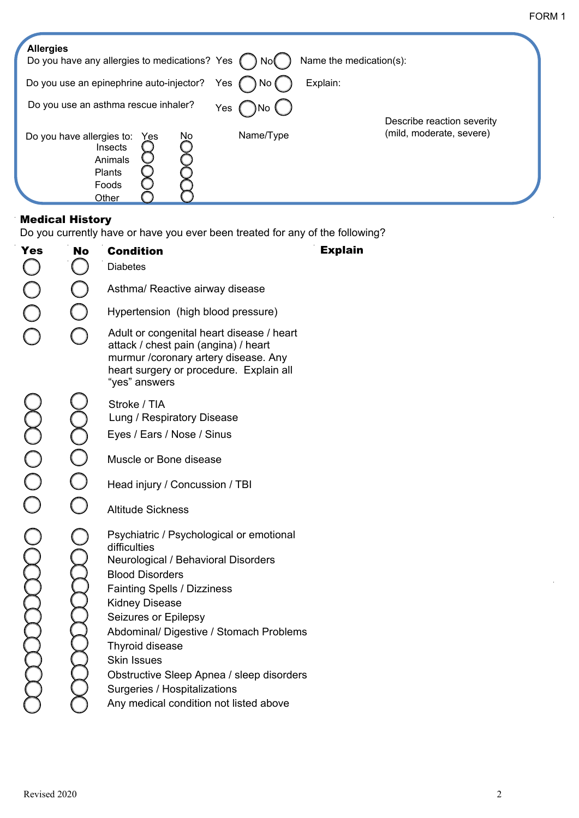| <b>Allergies</b><br>Do you have any allergies to medications? Yes<br>Name the medication(s):<br>Nol          |                            |
|--------------------------------------------------------------------------------------------------------------|----------------------------|
| Do you use an epinephrine auto-injector?<br>Explain:<br>Yes<br>No (                                          |                            |
| Do you use an asthma rescue inhaler?<br>Yes                                                                  | Describe reaction severity |
| Name/Type<br>No<br>Do you have allergies to:<br>Yes<br>Insects<br>Animals<br><b>Plants</b><br>Foods<br>Other | (mild, moderate, severe)   |

## Medical History

Do you currently have or have you ever been treated for any of the following?

| <b>Yes</b> | <b>No</b>      | <b>Condition</b><br><b>Diabetes</b>                                                                                                                                                                                                                                                                                                                                                                                                | <b>Explain</b> |
|------------|----------------|------------------------------------------------------------------------------------------------------------------------------------------------------------------------------------------------------------------------------------------------------------------------------------------------------------------------------------------------------------------------------------------------------------------------------------|----------------|
|            | J.             | Asthma/ Reactive airway disease                                                                                                                                                                                                                                                                                                                                                                                                    |                |
|            |                | Hypertension (high blood pressure)                                                                                                                                                                                                                                                                                                                                                                                                 |                |
|            |                | Adult or congenital heart disease / heart<br>attack / chest pain (angina) / heart<br>murmur / coronary artery disease. Any<br>heart surgery or procedure. Explain all<br>"yes" answers                                                                                                                                                                                                                                             |                |
|            |                | Stroke / TIA<br>Lung / Respiratory Disease                                                                                                                                                                                                                                                                                                                                                                                         |                |
|            |                | Eyes / Ears / Nose / Sinus                                                                                                                                                                                                                                                                                                                                                                                                         |                |
|            | $\bigcirc$     | Muscle or Bone disease                                                                                                                                                                                                                                                                                                                                                                                                             |                |
| OO<br>O    | $\rm\check{O}$ | Head injury / Concussion / TBI                                                                                                                                                                                                                                                                                                                                                                                                     |                |
|            |                | <b>Altitude Sickness</b>                                                                                                                                                                                                                                                                                                                                                                                                           |                |
|            |                | Psychiatric / Psychological or emotional<br>difficulties<br>Neurological / Behavioral Disorders<br><b>Blood Disorders</b><br><b>Fainting Spells / Dizziness</b><br><b>Kidney Disease</b><br>Seizures or Epilepsy<br>Abdominal/ Digestive / Stomach Problems<br><b>Thyroid disease</b><br><b>Skin Issues</b><br>Obstructive Sleep Apnea / sleep disorders<br>Surgeries / Hospitalizations<br>Any medical condition not listed above |                |